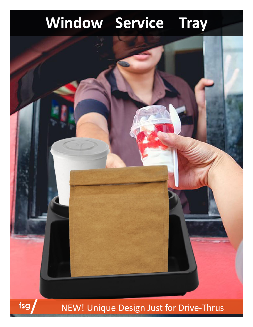# **Window Service Tray**



# NEW! Unique Design Just for Drive-Thrus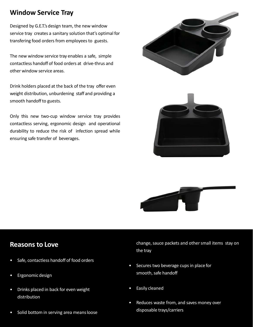### **Window Service Tray**

Designed by G.E.T.'s design team, the new window service tray creates a sanitary solution that's optimal for transfering food orders from employees to guests.

The new window service tray enables a safe, simple contactless handoff of food orders at drive-thrus and other window service areas.

Drink holders placed at the back of the tray offer even weight distribution, unburdening staff and providing a smooth handoff to guests.

Only this new two-cup window service tray provides contactless serving, ergonomic design and operational durability to reduce the risk of infection spread while ensuring safe transfer of beverages.





#### **Reasons to Love**

- Safe, contactless handoff of food orders
- Ergonomicdesign
- Drinks placed in back for even weight distribution
- Solid bottom in serving area means loose

change, sauce packets and other small items stay on the tray

- Secures two beverage cups in place for smooth, safe handoff
- Easily cleaned
- Reduces waste from, and saves money over disposable trays/carriers